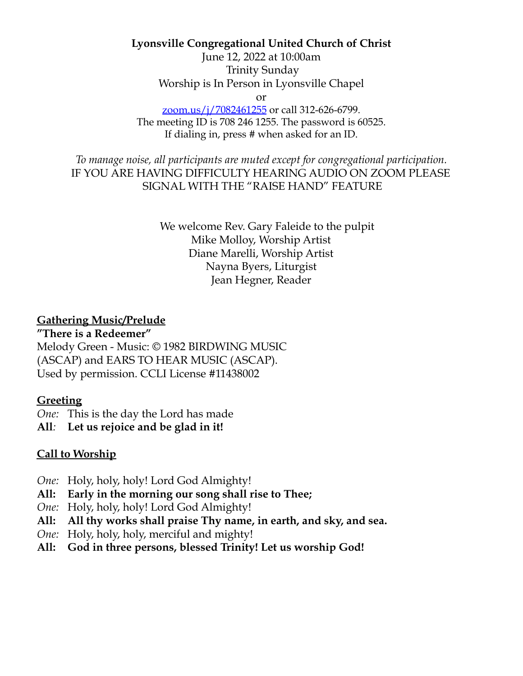#### **Lyonsville Congregational United Church of Christ**

June 12, 2022 at 10:00am Trinity Sunday Worship is In Person in Lyonsville Chapel

or

zoom.us/j/7082461255 or call 312-626-6799. The meeting ID is 708 246 1255. The password is 60525. If dialing in, press # when asked for an ID.

*To manage noise, all participants are muted except for congregational participation.* IF YOU ARE HAVING DIFFICULTY HEARING AUDIO ON ZOOM PLEASE SIGNAL WITH THE "RAISE HAND" FEATURE

> We welcome Rev. Gary Faleide to the pulpit Mike Molloy, Worship Artist Diane Marelli, Worship Artist Nayna Byers, Liturgist Jean Hegner, Reader

#### **Gathering Music/Prelude**

**"There is a Redeemer"**

Melody Green - Music: © 1982 BIRDWING MUSIC (ASCAP) and EARS TO HEAR MUSIC (ASCAP). Used by permission. CCLI License #11438002

#### **Greeting**

*One:* This is the day the Lord has made

**All***:* **Let us rejoice and be glad in it!**

#### **Call to Worship**

- *One:* Holy, holy, holy! Lord God Almighty!
- **All: Early in the morning our song shall rise to Thee;**
- *One:* Holy, holy, holy! Lord God Almighty!
- **All: All thy works shall praise Thy name, in earth, and sky, and sea.**
- *One:* Holy, holy, holy, merciful and mighty!
- **All: God in three persons, blessed Trinity! Let us worship God!**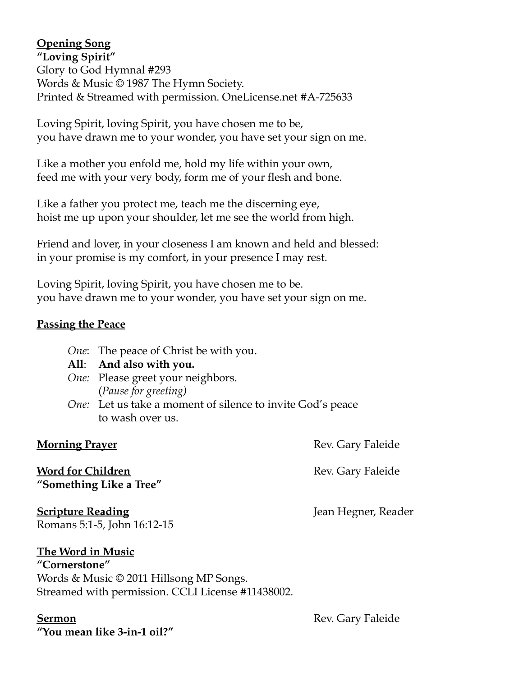# **Opening Song**

**"Loving Spirit"** Glory to God Hymnal #293 Words & Music © 1987 The Hymn Society. Printed & Streamed with permission. OneLicense.net #A-725633

Loving Spirit, loving Spirit, you have chosen me to be, you have drawn me to your wonder, you have set your sign on me.

Like a mother you enfold me, hold my life within your own, feed me with your very body, form me of your flesh and bone.

Like a father you protect me, teach me the discerning eye, hoist me up upon your shoulder, let me see the world from high.

Friend and lover, in your closeness I am known and held and blessed: in your promise is my comfort, in your presence I may rest.

Loving Spirit, loving Spirit, you have chosen me to be. you have drawn me to your wonder, you have set your sign on me.

### **Passing the Peace**

- *One*: The peace of Christ be with you.
- **All**: **And also with you.**
- *One:* Please greet your neighbors. (*Pause for greeting)*
- *One:* Let us take a moment of silence to invite God's peace to wash over us.

**Morning Prayer** Rev. Gary Faleide

**Word for Children** Rev. Gary Faleide **"Something Like a Tree"**

**Scripture Reading** Jean Hegner, Reader Romans 5:1-5, John 16:12-15

### **The Word in Music**

**"Cornerstone"** Words & Music © 2011 Hillsong MP Songs. Streamed with permission. CCLI License #11438002.

**"You mean like 3-in-1 oil?"**

**Sermon** Rev. Gary Faleide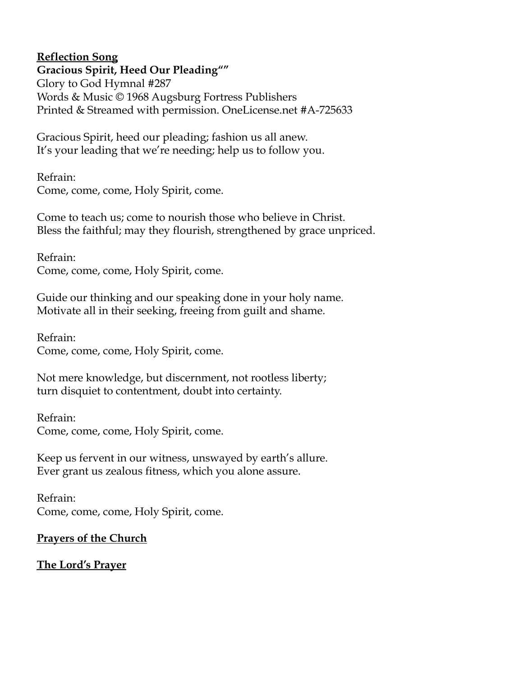# **Reflection Song**

**Gracious Spirit, Heed Our Pleading""** Glory to God Hymnal #287 Words & Music © 1968 Augsburg Fortress Publishers Printed & Streamed with permission. OneLicense.net #A-725633

Gracious Spirit, heed our pleading; fashion us all anew. It's your leading that we're needing; help us to follow you.

Refrain: Come, come, come, Holy Spirit, come.

Come to teach us; come to nourish those who believe in Christ. Bless the faithful; may they flourish, strengthened by grace unpriced.

Refrain: Come, come, come, Holy Spirit, come.

Guide our thinking and our speaking done in your holy name. Motivate all in their seeking, freeing from guilt and shame.

Refrain: Come, come, come, Holy Spirit, come.

Not mere knowledge, but discernment, not rootless liberty; turn disquiet to contentment, doubt into certainty.

Refrain: Come, come, come, Holy Spirit, come.

Keep us fervent in our witness, unswayed by earth's allure. Ever grant us zealous fitness, which you alone assure.

Refrain: Come, come, come, Holy Spirit, come.

# **Prayers of the Church**

# **The Lord's Prayer**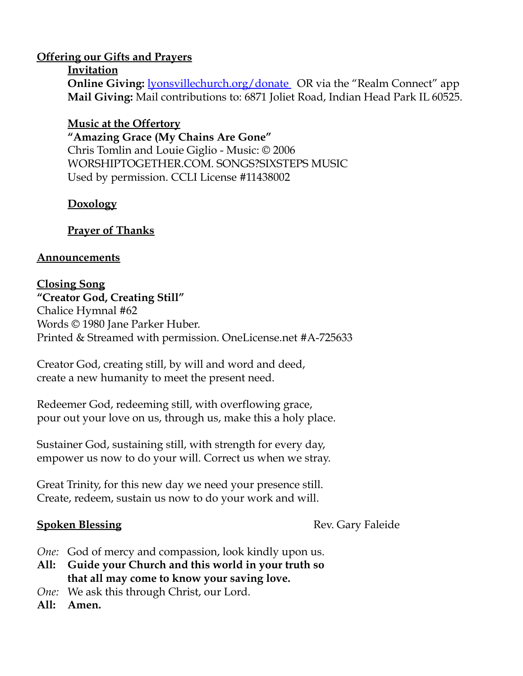### **Offering our Gifts and Prayers**

#### **Invitation**

**Online Giving:** <u>lyonsvillechurch.org/donate</u> OR via the "Realm Connect" app **Mail Giving:** Mail contributions to: 6871 Joliet Road, Indian Head Park IL 60525.

#### **Music at the Offertory**

**"Amazing Grace (My Chains Are Gone"** Chris Tomlin and Louie Giglio - Music: © 2006 WORSHIPTOGETHER.COM. SONGS?SIXSTEPS MUSIC Used by permission. CCLI License #11438002

# **Doxology**

# **Prayer of Thanks**

### **Announcements**

# **Closing Song**

**"Creator God, Creating Still"** Chalice Hymnal #62 Words © 1980 Jane Parker Huber. Printed & Streamed with permission. OneLicense.net #A-725633

Creator God, creating still, by will and word and deed, create a new humanity to meet the present need.

Redeemer God, redeeming still, with overflowing grace, pour out your love on us, through us, make this a holy place.

Sustainer God, sustaining still, with strength for every day, empower us now to do your will. Correct us when we stray.

Great Trinity, for this new day we need your presence still. Create, redeem, sustain us now to do your work and will.

**Spoken Blessing** Rev. Gary Faleide

- *One:* God of mercy and compassion, look kindly upon us.
- **All: Guide your Church and this world in your truth so that all may come to know your saving love.**
- *One:* We ask this through Christ, our Lord.

**All: Amen.**